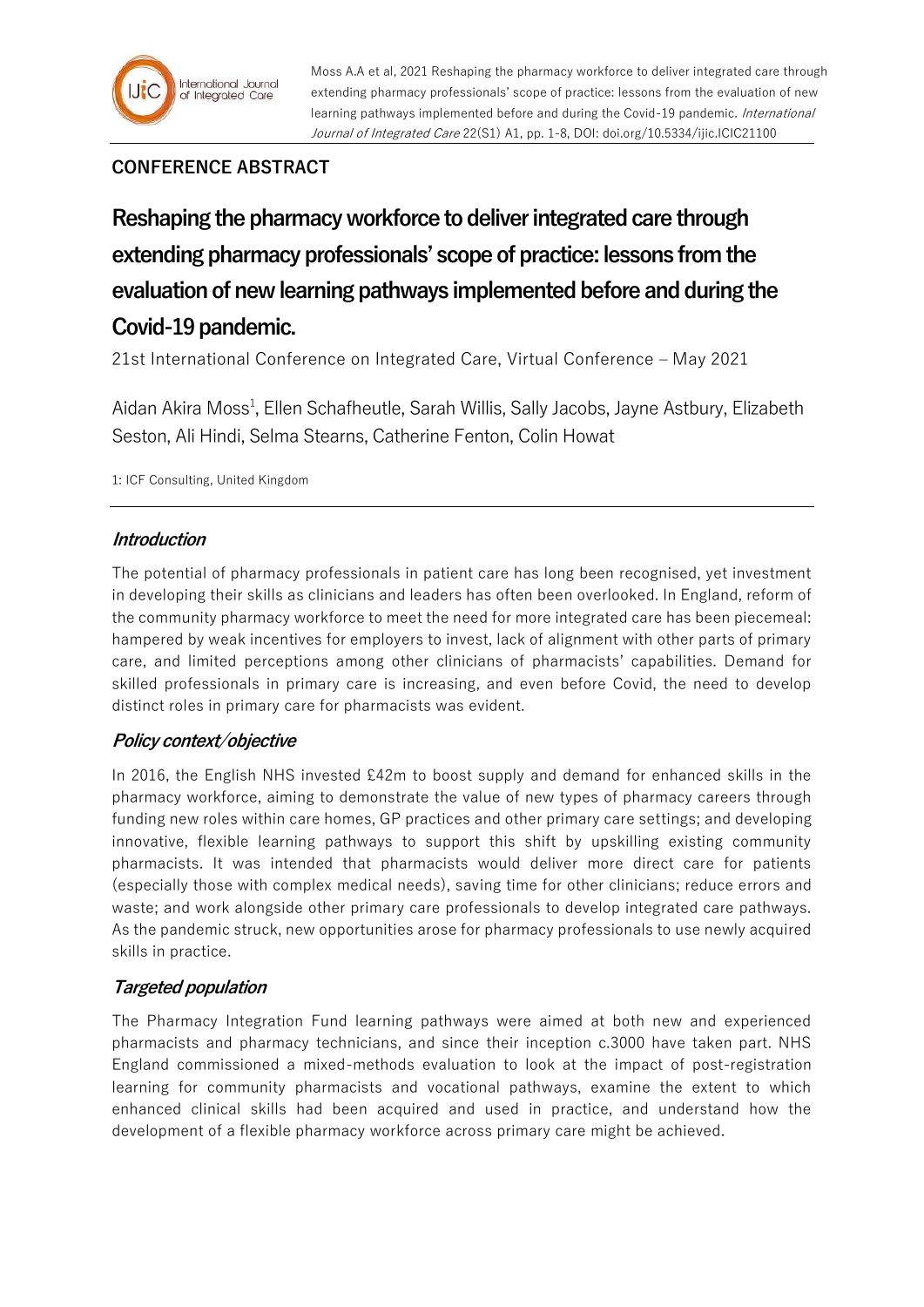

## **CONFERENCE ABSTRACT**

**Reshaping the pharmacy workforce to deliver integrated care through extending pharmacy professionals' scope of practice: lessons from the evaluation of new learning pathways implemented before and during the Covid-19 pandemic.**

21st International Conference on Integrated Care, Virtual Conference – May 2021

Aidan Akira Moss<sup>1</sup>, Ellen Schafheutle, Sarah Willis, Sally Jacobs, Jayne Astbury, Elizabeth Seston, Ali Hindi, Selma Stearns, Catherine Fenton, Colin Howat

1: ICF Consulting, United Kingdom

## **Introduction**

The potential of pharmacy professionals in patient care has long been recognised, yet investment in developing their skills as clinicians and leaders has often been overlooked. In England, reform of the community pharmacy workforce to meet the need for more integrated care has been piecemeal: hampered by weak incentives for employers to invest, lack of alignment with other parts of primary care, and limited perceptions among other clinicians of pharmacists' capabilities. Demand for skilled professionals in primary care is increasing, and even before Covid, the need to develop distinct roles in primary care for pharmacists was evident.

## **Policy context/objective**

In 2016, the English NHS invested £42m to boost supply and demand for enhanced skills in the pharmacy workforce, aiming to demonstrate the value of new types of pharmacy careers through funding new roles within care homes, GP practices and other primary care settings; and developing innovative, flexible learning pathways to support this shift by upskilling existing community pharmacists. It was intended that pharmacists would deliver more direct care for patients (especially those with complex medical needs), saving time for other clinicians; reduce errors and waste; and work alongside other primary care professionals to develop integrated care pathways. As the pandemic struck, new opportunities arose for pharmacy professionals to use newly acquired skills in practice.

#### **Targeted population**

The Pharmacy Integration Fund learning pathways were aimed at both new and experienced pharmacists and pharmacy technicians, and since their inception c.3000 have taken part. NHS England commissioned a mixed-methods evaluation to look at the impact of post-registration learning for community pharmacists and vocational pathways, examine the extent to which enhanced clinical skills had been acquired and used in practice, and understand how the development of a flexible pharmacy workforce across primary care might be achieved.